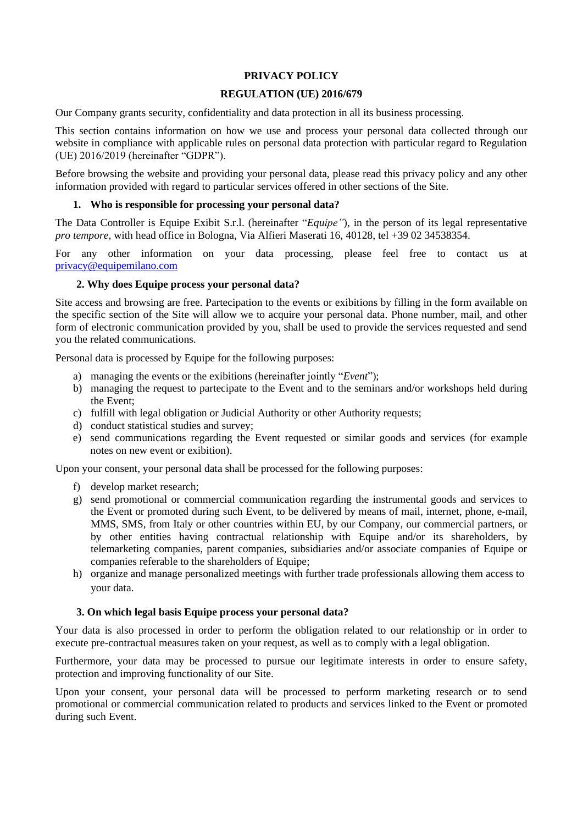## **PRIVACY POLICY**

#### **REGULATION (UE) 2016/679**

Our Company grants security, confidentiality and data protection in all its business processing.

This section contains information on how we use and process your personal data collected through our website in compliance with applicable rules on personal data protection with particular regard to Regulation (UE) 2016/2019 (hereinafter "GDPR").

Before browsing the website and providing your personal data, please read this privacy policy and any other information provided with regard to particular services offered in other sections of the Site.

### **1. Who is responsible for processing your personal data?**

The Data Controller is Equipe Exibit S.r.l. (hereinafter "*Equipe"*), in the person of its legal representative *pro tempore*, with head office in Bologna, Via Alfieri Maserati 16, 40128, tel +39 02 34538354.

For any other information on your data processing, please feel free to contact us at [privacy@equipemilano.com](mailto:privacy@equipemilano.com)

## **2. Why does Equipe process your personal data?**

Site access and browsing are free. Partecipation to the events or exibitions by filling in the form available on the specific section of the Site will allow we to acquire your personal data. Phone number, mail, and other form of electronic communication provided by you, shall be used to provide the services requested and send you the related communications.

Personal data is processed by Equipe for the following purposes:

- a) managing the events or the exibitions (hereinafter jointly "*Event*");
- b) managing the request to partecipate to the Event and to the seminars and/or workshops held during the Event;
- c) fulfill with legal obligation or Judicial Authority or other Authority requests;
- d) conduct statistical studies and survey;
- e) send communications regarding the Event requested or similar goods and services (for example notes on new event or exibition).

Upon your consent, your personal data shall be processed for the following purposes:

- f) develop market research;
- g) send promotional or commercial communication regarding the instrumental goods and services to the Event or promoted during such Event, to be delivered by means of mail, internet, phone, e-mail, MMS, SMS, from Italy or other countries within EU, by our Company, our commercial partners, or by other entities having contractual relationship with Equipe and/or its shareholders, by telemarketing companies, parent companies, subsidiaries and/or associate companies of Equipe or companies referable to the shareholders of Equipe;
- h) organize and manage personalized meetings with further trade professionals allowing them access to your data.

#### **3. On which legal basis Equipe process your personal data?**

Your data is also processed in order to perform the obligation related to our relationship or in order to execute pre-contractual measures taken on your request, as well as to comply with a legal obligation.

Furthermore, your data may be processed to pursue our legitimate interests in order to ensure safety, protection and improving functionality of our Site.

Upon your consent, your personal data will be processed to perform marketing research or to send promotional or commercial communication related to products and services linked to the Event or promoted during such Event.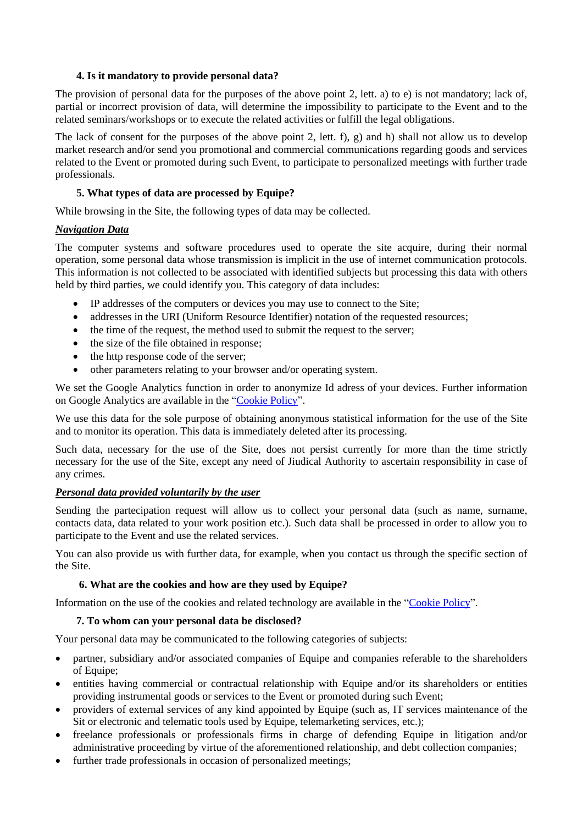## **4. Is it mandatory to provide personal data?**

The provision of personal data for the purposes of the above point 2, lett. a) to e) is not mandatory; lack of, partial or incorrect provision of data, will determine the impossibility to participate to the Event and to the related seminars/workshops or to execute the related activities or fulfill the legal obligations.

The lack of consent for the purposes of the above point 2, lett. f), g) and h) shall not allow us to develop market research and/or send you promotional and commercial communications regarding goods and services related to the Event or promoted during such Event, to participate to personalized meetings with further trade professionals.

# **5. What types of data are processed by Equipe?**

While browsing in the Site, the following types of data may be collected.

# *Navigation Data*

The computer systems and software procedures used to operate the site acquire, during their normal operation, some personal data whose transmission is implicit in the use of internet communication protocols. This information is not collected to be associated with identified subjects but processing this data with others held by third parties, we could identify you. This category of data includes:

- IP addresses of the computers or devices you may use to connect to the Site;
- addresses in the URI (Uniform Resource Identifier) notation of the requested resources;
- the time of the request, the method used to submit the request to the server;
- the size of the file obtained in response;
- the http response code of the server;
- other parameters relating to your browser and/or operating system.

We set the Google Analytics function in order to anonymize Id adress of your devices. Further information on Google Analytics are available in the ["Cookie Policy"](https://www.esxence.com/cookie-policy/?lang=en).

We use this data for the sole purpose of obtaining anonymous statistical information for the use of the Site and to monitor its operation. This data is immediately deleted after its processing.

Such data, necessary for the use of the Site, does not persist currently for more than the time strictly necessary for the use of the Site, except any need of Jiudical Authority to ascertain responsibility in case of any crimes.

# *Personal data provided voluntarily by the user*

Sending the partecipation request will allow us to collect your personal data (such as name, surname, contacts data, data related to your work position etc.). Such data shall be processed in order to allow you to participate to the Event and use the related services.

You can also provide us with further data, for example, when you contact us through the specific section of the Site.

# **6. What are the cookies and how are they used by Equipe?**

Information on the use of the cookies and related technology are available in the ["Cookie Policy"](https://www.esxence.com/cookie-policy/?lang=en).

# **7. To whom can your personal data be disclosed?**

Your personal data may be communicated to the following categories of subjects:

- partner, subsidiary and/or associated companies of Equipe and companies referable to the shareholders of Equipe;
- entities having commercial or contractual relationship with Equipe and/or its shareholders or entities providing instrumental goods or services to the Event or promoted during such Event;
- providers of external services of any kind appointed by Equipe (such as, IT services maintenance of the Sit or electronic and telematic tools used by Equipe, telemarketing services, etc.);
- freelance professionals or professionals firms in charge of defending Equipe in litigation and/or administrative proceeding by virtue of the aforementioned relationship, and debt collection companies;
- further trade professionals in occasion of personalized meetings;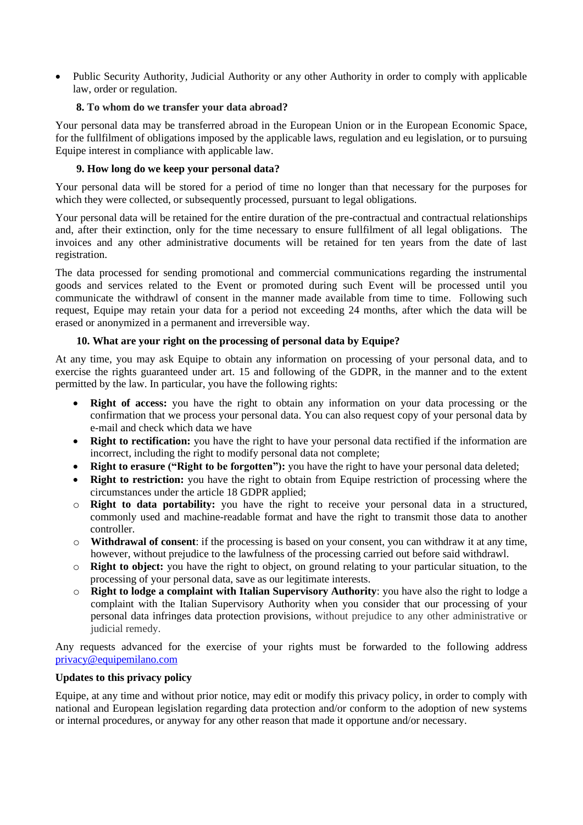• Public Security Authority, Judicial Authority or any other Authority in order to comply with applicable law, order or regulation.

## **8. To whom do we transfer your data abroad?**

Your personal data may be transferred abroad in the European Union or in the European Economic Space, for the fullfilment of obligations imposed by the applicable laws, regulation and eu legislation, or to pursuing Equipe interest in compliance with applicable law.

## **9. How long do we keep your personal data?**

Your personal data will be stored for a period of time no longer than that necessary for the purposes for which they were collected, or subsequently processed, pursuant to legal obligations.

Your personal data will be retained for the entire duration of the pre-contractual and contractual relationships and, after their extinction, only for the time necessary to ensure fullfilment of all legal obligations. The invoices and any other administrative documents will be retained for ten years from the date of last registration.

The data processed for sending promotional and commercial communications regarding the instrumental goods and services related to the Event or promoted during such Event will be processed until you communicate the withdrawl of consent in the manner made available from time to time. Following such request, Equipe may retain your data for a period not exceeding 24 months, after which the data will be erased or anonymized in a permanent and irreversible way.

## **10. What are your right on the processing of personal data by Equipe?**

At any time, you may ask Equipe to obtain any information on processing of your personal data, and to exercise the rights guaranteed under art. 15 and following of the GDPR, in the manner and to the extent permitted by the law. In particular, you have the following rights:

- **Right of access:** you have the right to obtain any information on your data processing or the confirmation that we process your personal data. You can also request copy of your personal data by e-mail and check which data we have
- **Right to rectification:** you have the right to have your personal data rectified if the information are incorrect, including the right to modify personal data not complete;
- **Right to erasure ("Right to be forgotten"):** you have the right to have your personal data deleted;
- **Right to restriction:** you have the right to obtain from Equipe restriction of processing where the circumstances under the article 18 GDPR applied;
- o **Right to data portability:** you have the right to receive your personal data in a structured, commonly used and machine-readable format and have the right to transmit those data to another controller.
- o **Withdrawal of consent**: if the processing is based on your consent, you can withdraw it at any time, however, without prejudice to the lawfulness of the processing carried out before said withdrawl.
- o **Right to object:** you have the right to object, on ground relating to your particular situation, to the processing of your personal data, save as our legitimate interests.
- o **Right to lodge a complaint with Italian Supervisory Authority**: you have also the right to lodge a complaint with the Italian Supervisory Authority when you consider that our processing of your personal data infringes data protection provisions, without prejudice to any other administrative or judicial remedy.

Any requests advanced for the exercise of your rights must be forwarded to the following address [privacy@equipemilano.com](mailto:privacy@equipemilano.com)

#### **Updates to this privacy policy**

Equipe, at any time and without prior notice, may edit or modify this privacy policy, in order to comply with national and European legislation regarding data protection and/or conform to the adoption of new systems or internal procedures, or anyway for any other reason that made it opportune and/or necessary.